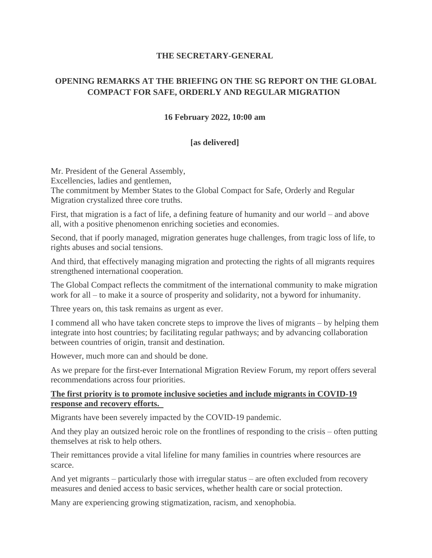### **THE SECRETARY-GENERAL**

# **OPENING REMARKS AT THE BRIEFING ON THE SG REPORT ON THE GLOBAL COMPACT FOR SAFE, ORDERLY AND REGULAR MIGRATION**

## **16 February 2022, 10:00 am**

## **[as delivered]**

Mr. President of the General Assembly, Excellencies, ladies and gentlemen, The commitment by Member States to the Global Compact for Safe, Orderly and Regular Migration crystalized three core truths.

First, that migration is a fact of life, a defining feature of humanity and our world – and above all, with a positive phenomenon enriching societies and economies.

Second, that if poorly managed, migration generates huge challenges, from tragic loss of life, to rights abuses and social tensions.

And third, that effectively managing migration and protecting the rights of all migrants requires strengthened international cooperation.

The Global Compact reflects the commitment of the international community to make migration work for all – to make it a source of prosperity and solidarity, not a byword for inhumanity.

Three years on, this task remains as urgent as ever.

I commend all who have taken concrete steps to improve the lives of migrants – by helping them integrate into host countries; by facilitating regular pathways; and by advancing collaboration between countries of origin, transit and destination.

However, much more can and should be done.

As we prepare for the first-ever International Migration Review Forum, my report offers several recommendations across four priorities.

#### **The first priority is to promote inclusive societies and include migrants in COVID-19 response and recovery efforts.**

Migrants have been severely impacted by the COVID-19 pandemic.

And they play an outsized heroic role on the frontlines of responding to the crisis – often putting themselves at risk to help others.

Their remittances provide a vital lifeline for many families in countries where resources are scarce.

And yet migrants – particularly those with irregular status – are often excluded from recovery measures and denied access to basic services, whether health care or social protection.

Many are experiencing growing stigmatization, racism, and xenophobia.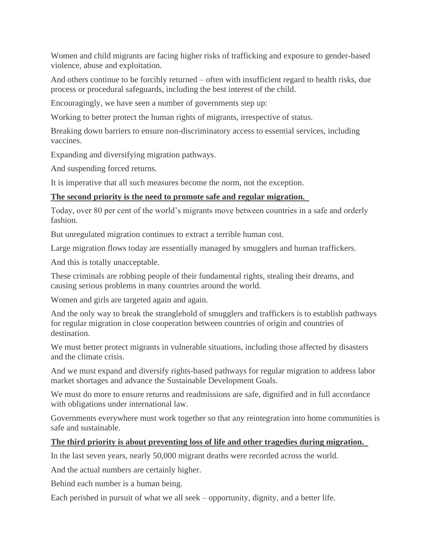Women and child migrants are facing higher risks of trafficking and exposure to gender-based violence, abuse and exploitation.

And others continue to be forcibly returned – often with insufficient regard to health risks, due process or procedural safeguards, including the best interest of the child.

Encouragingly, we have seen a number of governments step up:

Working to better protect the human rights of migrants, irrespective of status.

Breaking down barriers to ensure non-discriminatory access to essential services, including vaccines.

Expanding and diversifying migration pathways.

And suspending forced returns.

It is imperative that all such measures become the norm, not the exception.

#### **The second priority is the need to promote safe and regular migration.**

Today, over 80 per cent of the world's migrants move between countries in a safe and orderly fashion.

But unregulated migration continues to extract a terrible human cost.

Large migration flows today are essentially managed by smugglers and human traffickers.

And this is totally unacceptable.

These criminals are robbing people of their fundamental rights, stealing their dreams, and causing serious problems in many countries around the world.

Women and girls are targeted again and again.

And the only way to break the stranglehold of smugglers and traffickers is to establish pathways for regular migration in close cooperation between countries of origin and countries of destination.

We must better protect migrants in vulnerable situations, including those affected by disasters and the climate crisis.

And we must expand and diversify rights-based pathways for regular migration to address labor market shortages and advance the Sustainable Development Goals.

We must do more to ensure returns and readmissions are safe, dignified and in full accordance with obligations under international law.

Governments everywhere must work together so that any reintegration into home communities is safe and sustainable.

#### **The third priority is about preventing loss of life and other tragedies during migration.**

In the last seven years, nearly 50,000 migrant deaths were recorded across the world.

And the actual numbers are certainly higher.

Behind each number is a human being.

Each perished in pursuit of what we all seek – opportunity, dignity, and a better life.